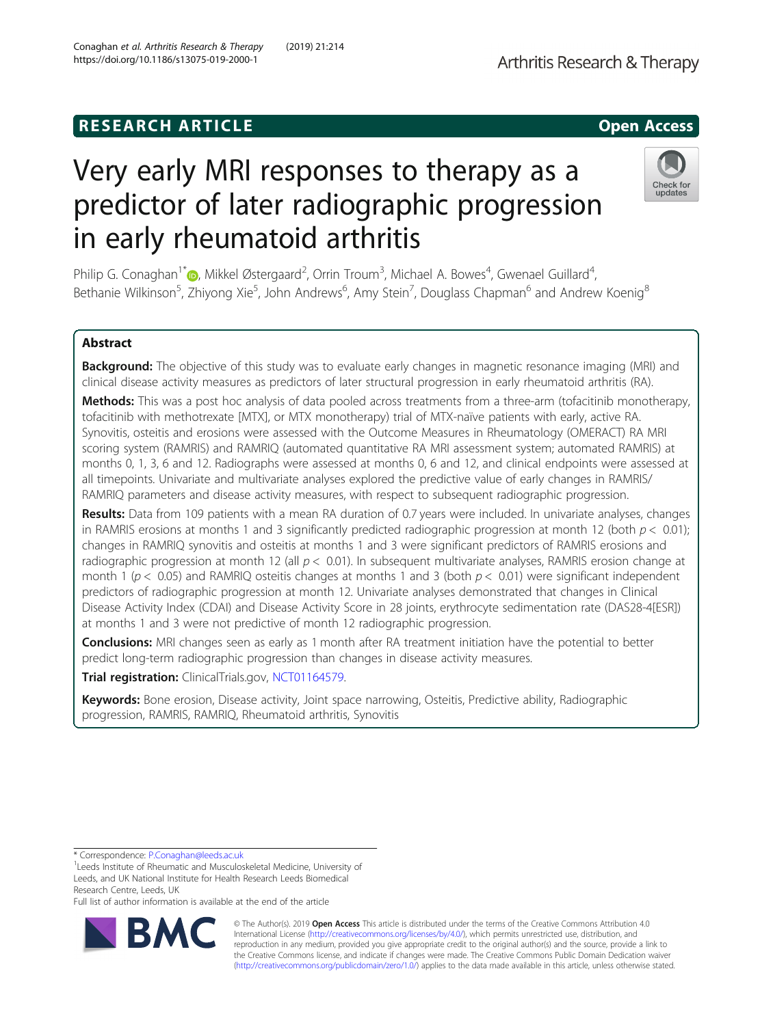# **RESEARCH ARTICLE Example 2014 12:30 The SEAR CH ACCESS**

# Very early MRI responses to therapy as a predictor of later radiographic progression in early rheumatoid arthritis

Philip G. Conaghan<sup>1\*</sup>®[,](http://orcid.org/0000-0002-3478-5665) Mikkel Østergaard<sup>2</sup>, Orrin Troum<sup>3</sup>, Michael A. Bowes<sup>4</sup>, Gwenael Guillard<sup>4</sup> , Bethanie Wilkinson<sup>5</sup>, Zhiyong Xie<sup>5</sup>, John Andrews<sup>6</sup>, Amy Stein<sup>7</sup>, Douglass Chapman<sup>6</sup> and Andrew Koenig<sup>8</sup>

# Abstract

Background: The objective of this study was to evaluate early changes in magnetic resonance imaging (MRI) and clinical disease activity measures as predictors of later structural progression in early rheumatoid arthritis (RA).

Methods: This was a post hoc analysis of data pooled across treatments from a three-arm (tofacitinib monotherapy, tofacitinib with methotrexate [MTX], or MTX monotherapy) trial of MTX-naïve patients with early, active RA. Synovitis, osteitis and erosions were assessed with the Outcome Measures in Rheumatology (OMERACT) RA MRI scoring system (RAMRIS) and RAMRIQ (automated quantitative RA MRI assessment system; automated RAMRIS) at months 0, 1, 3, 6 and 12. Radiographs were assessed at months 0, 6 and 12, and clinical endpoints were assessed at all timepoints. Univariate and multivariate analyses explored the predictive value of early changes in RAMRIS/ RAMRIQ parameters and disease activity measures, with respect to subsequent radiographic progression.

Results: Data from 109 patients with a mean RA duration of 0.7 years were included. In univariate analyses, changes in RAMRIS erosions at months 1 and 3 significantly predicted radiographic progression at month 12 (both  $p < 0.01$ ); changes in RAMRIQ synovitis and osteitis at months 1 and 3 were significant predictors of RAMRIS erosions and radiographic progression at month 12 (all  $p < 0.01$ ). In subsequent multivariate analyses, RAMRIS erosion change at month 1 ( $p < 0.05$ ) and RAMRIQ osteitis changes at months 1 and 3 (both  $p < 0.01$ ) were significant independent predictors of radiographic progression at month 12. Univariate analyses demonstrated that changes in Clinical Disease Activity Index (CDAI) and Disease Activity Score in 28 joints, erythrocyte sedimentation rate (DAS28-4[ESR]) at months 1 and 3 were not predictive of month 12 radiographic progression.

**Conclusions:** MRI changes seen as early as 1 month after RA treatment initiation have the potential to better predict long-term radiographic progression than changes in disease activity measures.

Trial registration: ClinicalTrials.gov, [NCT01164579.](https://clinicaltrials.gov/ct2/show/NCT01164579)

Keywords: Bone erosion, Disease activity, Joint space narrowing, Osteitis, Predictive ability, Radiographic progression, RAMRIS, RAMRIQ, Rheumatoid arthritis, Synovitis

\* Correspondence: [P.Conaghan@leeds.ac.uk](mailto:P.Conaghan@leeds.ac.uk) <sup>1</sup>

Full list of author information is available at the end of the article

© The Author(s). 2019 **Open Access** This article is distributed under the terms of the Creative Commons Attribution 4.0 International License [\(http://creativecommons.org/licenses/by/4.0/](http://creativecommons.org/licenses/by/4.0/)), which permits unrestricted use, distribution, and reproduction in any medium, provided you give appropriate credit to the original author(s) and the source, provide a link to the Creative Commons license, and indicate if changes were made. The Creative Commons Public Domain Dedication waiver [\(http://creativecommons.org/publicdomain/zero/1.0/](http://creativecommons.org/publicdomain/zero/1.0/)) applies to the data made available in this article, unless otherwise stated.





<sup>&</sup>lt;sup>1</sup> Leeds Institute of Rheumatic and Musculoskeletal Medicine, University of Leeds, and UK National Institute for Health Research Leeds Biomedical Research Centre, Leeds, UK

Conaghan et al. Arthritis Research & Therapy (2019) 21:214 https://doi.org/10.1186/s13075-019-2000-1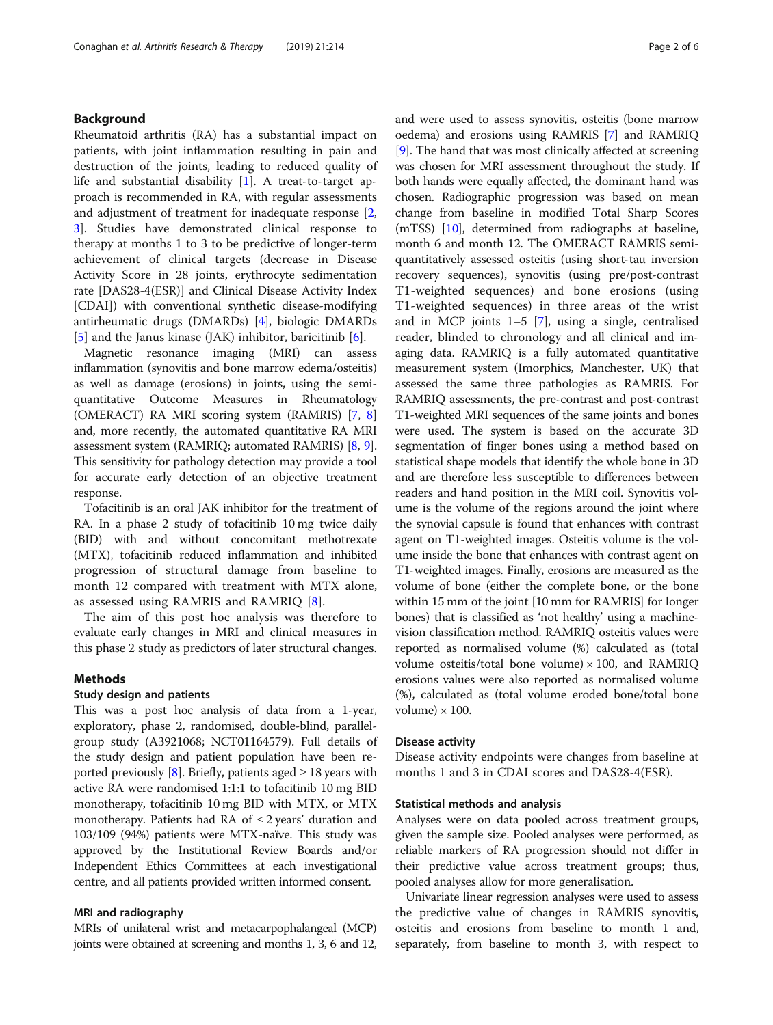# Background

Rheumatoid arthritis (RA) has a substantial impact on patients, with joint inflammation resulting in pain and destruction of the joints, leading to reduced quality of life and substantial disability [\[1](#page-5-0)]. A treat-to-target approach is recommended in RA, with regular assessments and adjustment of treatment for inadequate response [\[2](#page-5-0), [3\]](#page-5-0). Studies have demonstrated clinical response to therapy at months 1 to 3 to be predictive of longer-term achievement of clinical targets (decrease in Disease Activity Score in 28 joints, erythrocyte sedimentation rate [DAS28-4(ESR)] and Clinical Disease Activity Index [CDAI]) with conventional synthetic disease-modifying antirheumatic drugs (DMARDs) [\[4](#page-5-0)], biologic DMARDs [[5\]](#page-5-0) and the Janus kinase (JAK) inhibitor, baricitinib [\[6\]](#page-5-0).

Magnetic resonance imaging (MRI) can assess inflammation (synovitis and bone marrow edema/osteitis) as well as damage (erosions) in joints, using the semiquantitative Outcome Measures in Rheumatology (OMERACT) RA MRI scoring system (RAMRIS) [\[7,](#page-5-0) [8](#page-5-0)] and, more recently, the automated quantitative RA MRI assessment system (RAMRIQ; automated RAMRIS) [[8,](#page-5-0) [9](#page-5-0)]. This sensitivity for pathology detection may provide a tool for accurate early detection of an objective treatment response.

Tofacitinib is an oral JAK inhibitor for the treatment of RA. In a phase 2 study of tofacitinib 10 mg twice daily (BID) with and without concomitant methotrexate (MTX), tofacitinib reduced inflammation and inhibited progression of structural damage from baseline to month 12 compared with treatment with MTX alone, as assessed using RAMRIS and RAMRIQ [\[8](#page-5-0)].

The aim of this post hoc analysis was therefore to evaluate early changes in MRI and clinical measures in this phase 2 study as predictors of later structural changes.

#### Methods

# Study design and patients

This was a post hoc analysis of data from a 1-year, exploratory, phase 2, randomised, double-blind, parallelgroup study (A3921068; NCT01164579). Full details of the study design and patient population have been re-ported previously [\[8](#page-5-0)]. Briefly, patients aged  $\geq 18$  years with active RA were randomised 1:1:1 to tofacitinib 10 mg BID monotherapy, tofacitinib 10 mg BID with MTX, or MTX monotherapy. Patients had RA of  $\leq$  2 years' duration and 103/109 (94%) patients were MTX-naïve. This study was approved by the Institutional Review Boards and/or Independent Ethics Committees at each investigational centre, and all patients provided written informed consent.

# MRI and radiography

MRIs of unilateral wrist and metacarpophalangeal (MCP) joints were obtained at screening and months 1, 3, 6 and 12, and were used to assess synovitis, osteitis (bone marrow oedema) and erosions using RAMRIS [[7](#page-5-0)] and RAMRIQ [[9\]](#page-5-0). The hand that was most clinically affected at screening was chosen for MRI assessment throughout the study. If both hands were equally affected, the dominant hand was chosen. Radiographic progression was based on mean change from baseline in modified Total Sharp Scores (mTSS) [[10](#page-5-0)], determined from radiographs at baseline, month 6 and month 12. The OMERACT RAMRIS semiquantitatively assessed osteitis (using short-tau inversion recovery sequences), synovitis (using pre/post-contrast T1-weighted sequences) and bone erosions (using T1-weighted sequences) in three areas of the wrist and in MCP joints 1–5 [\[7](#page-5-0)], using a single, centralised reader, blinded to chronology and all clinical and imaging data. RAMRIQ is a fully automated quantitative measurement system (Imorphics, Manchester, UK) that assessed the same three pathologies as RAMRIS. For RAMRIQ assessments, the pre-contrast and post-contrast T1-weighted MRI sequences of the same joints and bones were used. The system is based on the accurate 3D segmentation of finger bones using a method based on statistical shape models that identify the whole bone in 3D and are therefore less susceptible to differences between readers and hand position in the MRI coil. Synovitis volume is the volume of the regions around the joint where the synovial capsule is found that enhances with contrast agent on T1-weighted images. Osteitis volume is the volume inside the bone that enhances with contrast agent on T1-weighted images. Finally, erosions are measured as the volume of bone (either the complete bone, or the bone within 15 mm of the joint [10 mm for RAMRIS] for longer bones) that is classified as 'not healthy' using a machinevision classification method. RAMRIQ osteitis values were reported as normalised volume (%) calculated as (total volume osteitis/total bone volume)  $\times$  100, and RAMRIQ erosions values were also reported as normalised volume (%), calculated as (total volume eroded bone/total bone volume)  $\times$  100.

# Disease activity

Disease activity endpoints were changes from baseline at months 1 and 3 in CDAI scores and DAS28-4(ESR).

#### Statistical methods and analysis

Analyses were on data pooled across treatment groups, given the sample size. Pooled analyses were performed, as reliable markers of RA progression should not differ in their predictive value across treatment groups; thus, pooled analyses allow for more generalisation.

Univariate linear regression analyses were used to assess the predictive value of changes in RAMRIS synovitis, osteitis and erosions from baseline to month 1 and, separately, from baseline to month 3, with respect to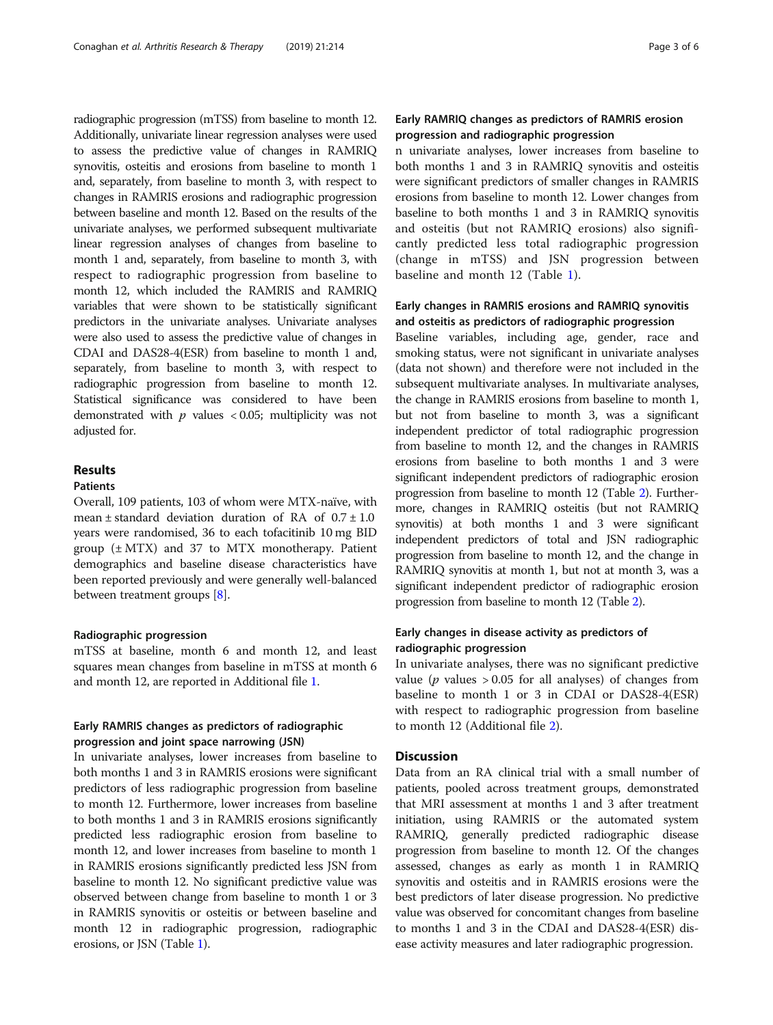radiographic progression (mTSS) from baseline to month 12. Additionally, univariate linear regression analyses were used to assess the predictive value of changes in RAMRIQ synovitis, osteitis and erosions from baseline to month 1 and, separately, from baseline to month 3, with respect to changes in RAMRIS erosions and radiographic progression between baseline and month 12. Based on the results of the univariate analyses, we performed subsequent multivariate linear regression analyses of changes from baseline to month 1 and, separately, from baseline to month 3, with respect to radiographic progression from baseline to month 12, which included the RAMRIS and RAMRIQ variables that were shown to be statistically significant predictors in the univariate analyses. Univariate analyses were also used to assess the predictive value of changes in CDAI and DAS28-4(ESR) from baseline to month 1 and, separately, from baseline to month 3, with respect to radiographic progression from baseline to month 12. Statistical significance was considered to have been demonstrated with  $p$  values < 0.05; multiplicity was not adjusted for.

# Results

# Patients

Overall, 109 patients, 103 of whom were MTX-naïve, with mean  $\pm$  standard deviation duration of RA of  $0.7 \pm 1.0$ years were randomised, 36 to each tofacitinib 10 mg BID group  $(\pm MTX)$  and 37 to MTX monotherapy. Patient demographics and baseline disease characteristics have been reported previously and were generally well-balanced between treatment groups [\[8](#page-5-0)].

# Radiographic progression

mTSS at baseline, month 6 and month 12, and least squares mean changes from baseline in mTSS at month 6 and month 12, are reported in Additional file [1](#page-4-0).

# Early RAMRIS changes as predictors of radiographic progression and joint space narrowing (JSN)

In univariate analyses, lower increases from baseline to both months 1 and 3 in RAMRIS erosions were significant predictors of less radiographic progression from baseline to month 12. Furthermore, lower increases from baseline to both months 1 and 3 in RAMRIS erosions significantly predicted less radiographic erosion from baseline to month 12, and lower increases from baseline to month 1 in RAMRIS erosions significantly predicted less JSN from baseline to month 12. No significant predictive value was observed between change from baseline to month 1 or 3 in RAMRIS synovitis or osteitis or between baseline and month 12 in radiographic progression, radiographic erosions, or JSN (Table [1\)](#page-3-0).

# Early RAMRIQ changes as predictors of RAMRIS erosion progression and radiographic progression

n univariate analyses, lower increases from baseline to both months 1 and 3 in RAMRIQ synovitis and osteitis were significant predictors of smaller changes in RAMRIS erosions from baseline to month 12. Lower changes from baseline to both months 1 and 3 in RAMRIQ synovitis and osteitis (but not RAMRIQ erosions) also significantly predicted less total radiographic progression (change in mTSS) and JSN progression between baseline and month 12 (Table [1](#page-3-0)).

# Early changes in RAMRIS erosions and RAMRIQ synovitis and osteitis as predictors of radiographic progression

Baseline variables, including age, gender, race and smoking status, were not significant in univariate analyses (data not shown) and therefore were not included in the subsequent multivariate analyses. In multivariate analyses, the change in RAMRIS erosions from baseline to month 1, but not from baseline to month 3, was a significant independent predictor of total radiographic progression from baseline to month 12, and the changes in RAMRIS erosions from baseline to both months 1 and 3 were significant independent predictors of radiographic erosion progression from baseline to month 12 (Table [2](#page-3-0)). Furthermore, changes in RAMRIQ osteitis (but not RAMRIQ synovitis) at both months 1 and 3 were significant independent predictors of total and JSN radiographic progression from baseline to month 12, and the change in RAMRIQ synovitis at month 1, but not at month 3, was a significant independent predictor of radiographic erosion progression from baseline to month 12 (Table [2](#page-3-0)).

# Early changes in disease activity as predictors of radiographic progression

In univariate analyses, there was no significant predictive value ( $p$  values  $> 0.05$  for all analyses) of changes from baseline to month 1 or 3 in CDAI or DAS28-4(ESR) with respect to radiographic progression from baseline to month 12 (Additional file [2](#page-4-0)).

# Discussion

Data from an RA clinical trial with a small number of patients, pooled across treatment groups, demonstrated that MRI assessment at months 1 and 3 after treatment initiation, using RAMRIS or the automated system RAMRIQ, generally predicted radiographic disease progression from baseline to month 12. Of the changes assessed, changes as early as month 1 in RAMRIQ synovitis and osteitis and in RAMRIS erosions were the best predictors of later disease progression. No predictive value was observed for concomitant changes from baseline to months 1 and 3 in the CDAI and DAS28-4(ESR) disease activity measures and later radiographic progression.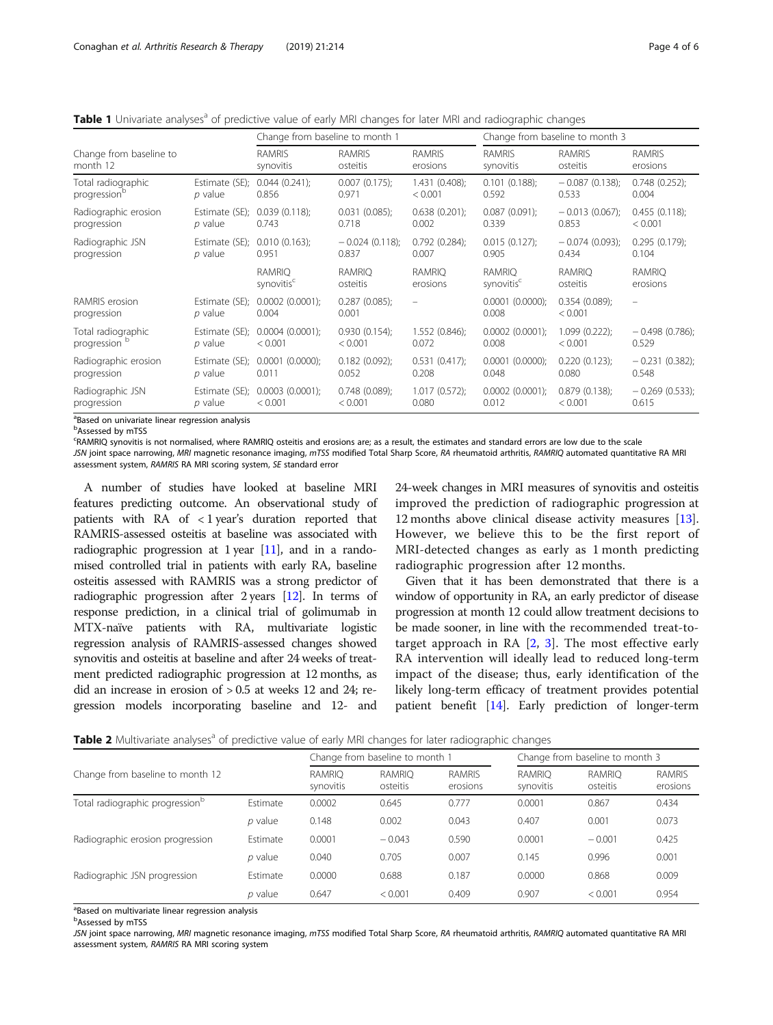<span id="page-3-0"></span>Table 1 Univariate analyses<sup>a</sup> of predictive value of early MRI changes for later MRI and radiographic changes

|                               |                               | Change from baseline to month 1         |                           |                           | Change from baseline to month 3         |                             |                          |  |
|-------------------------------|-------------------------------|-----------------------------------------|---------------------------|---------------------------|-----------------------------------------|-----------------------------|--------------------------|--|
| Change from baseline to       |                               | <b>RAMRIS</b>                           | <b>RAMRIS</b>             | <b>RAMRIS</b>             | <b>RAMRIS</b>                           | <b>RAMRIS</b>               | <b>RAMRIS</b>            |  |
| month 12                      |                               | synovitis                               | osteitis                  | erosions                  | synovitis                               | osteitis                    | erosions                 |  |
| Total radiographic            | Estimate (SE);                | 0.044(0.241);                           | 0.007(0.175);             | 1.431(0.408);             | 0.101(0.188);                           | $-0.087(0.138);$            | 0.748(0.252);            |  |
| progression <sup>b</sup>      | $p$ value                     | 0.856                                   | 0.971                     | < 0.001                   | 0.592                                   | 0.533                       | 0.004                    |  |
| Radiographic erosion          | Estimate (SE); 0.039 (0.118); | 0.743                                   | 0.031(0.085);             | 0.638(0.201);             | $0.087(0.091)$ ;                        | $-0.013(0.067)$ ;           | 0.455(0.118);            |  |
| progression                   | $p$ value                     |                                         | 0.718                     | 0.002                     | 0.339                                   | 0.853                       | < 0.001                  |  |
| Radiographic JSN              | Estimate (SE); 0.010 (0.163); | 0.951                                   | $-0.024(0.118);$          | 0.792(0.284);             | $0.015(0.127)$ ;                        | $-0.074(0.093)$ ;           | $0.295(0.179)$ ;         |  |
| progression                   | p value                       |                                         | 0.837                     | 0.007                     | 0.905                                   | 0.434                       | 0.104                    |  |
|                               |                               | <b>RAMRIO</b><br>synovitis <sup>c</sup> | <b>RAMRIO</b><br>osteitis | <b>RAMRIO</b><br>erosions | <b>RAMRIO</b><br>synovitis <sup>c</sup> | RAMRIO<br>osteitis          | RAMRIO<br>erosions       |  |
| RAMRIS erosion<br>progression | Estimate (SE);<br>p value     | 0.0002(0.0001);<br>0.004                | 0.287(0.085);<br>0.001    | $\overline{\phantom{m}}$  | $0.0001$ $(0.0000)$ ;<br>0.008          | $0.354(0.089)$ ;<br>< 0.001 | $\overline{\phantom{m}}$ |  |
| Total radiographic            | Estimate (SE);                | 0.0004(0.0001);                         | 0.930(0.154);             | 1.552(0.846);             | $0.0002$ $(0.0001)$ ;                   | $1.099(0.222)$ ;            | $-0.498(0.786);$         |  |
| progression                   | p value                       | < 0.001                                 | < 0.001                   | 0.072                     | 0.008                                   | < 0.001                     | 0.529                    |  |
| Radiographic erosion          | Estimate (SE);                | 0.0001(0.0000);                         | $0.182(0.092)$ ;          | 0.531(0.417);             | $0.0001$ $(0.0000)$ ;                   | 0.220(0.123);               | $-0.231(0.382)$ ;        |  |
| progression                   | p value                       | 0.011                                   | 0.052                     | 0.208                     | 0.048                                   | 0.080                       | 0.548                    |  |
| Radiographic JSN              | Estimate (SE);                | 0.0003(0.0001);                         | 0.748(0.089);             | $1.017(0.572)$ ;          | $0.0002$ $(0.0001)$ ;                   | 0.879(0.138);               | $-0.269(0.533);$         |  |
| progression                   | p value                       | < 0.001                                 | < 0.001                   | 0.080                     | 0.012                                   | < 0.001                     | 0.615                    |  |

<sup>a</sup>Based on univariate linear regression analysis

<sup>b</sup>Assessed by mTSS

c RAMRIQ synovitis is not normalised, where RAMRIQ osteitis and erosions are; as a result, the estimates and standard errors are low due to the scale

JSN joint space narrowing, MRI magnetic resonance imaging, mTSS modified Total Sharp Score, RA rheumatoid arthritis, RAMRIQ automated quantitative RA MRI assessment system, RAMRIS RA MRI scoring system, SE standard error

A number of studies have looked at baseline MRI features predicting outcome. An observational study of patients with RA of < 1 year's duration reported that RAMRIS-assessed osteitis at baseline was associated with radiographic progression at 1 year [[11](#page-5-0)], and in a randomised controlled trial in patients with early RA, baseline osteitis assessed with RAMRIS was a strong predictor of radiographic progression after 2 years [[12](#page-5-0)]. In terms of response prediction, in a clinical trial of golimumab in MTX-naïve patients with RA, multivariate logistic regression analysis of RAMRIS-assessed changes showed synovitis and osteitis at baseline and after 24 weeks of treatment predicted radiographic progression at 12 months, as did an increase in erosion of > 0.5 at weeks 12 and 24; regression models incorporating baseline and 12- and

24-week changes in MRI measures of synovitis and osteitis improved the prediction of radiographic progression at 12 months above clinical disease activity measures [[13](#page-5-0)]. However, we believe this to be the first report of MRI-detected changes as early as 1 month predicting radiographic progression after 12 months.

Given that it has been demonstrated that there is a window of opportunity in RA, an early predictor of disease progression at month 12 could allow treatment decisions to be made sooner, in line with the recommended treat-totarget approach in RA  $[2, 3]$  $[2, 3]$  $[2, 3]$  $[2, 3]$  $[2, 3]$ . The most effective early RA intervention will ideally lead to reduced long-term impact of the disease; thus, early identification of the likely long-term efficacy of treatment provides potential patient benefit [[14](#page-5-0)]. Early prediction of longer-term

Table 2 Multivariate analyses<sup>a</sup> of predictive value of early MRI changes for later radiographic changes

|                                             |                            | Change from baseline to month 1 |                           |                            | Change from baseline to month 3 |                           |       |
|---------------------------------------------|----------------------------|---------------------------------|---------------------------|----------------------------|---------------------------------|---------------------------|-------|
| Change from baseline to month 12            | <b>RAMRIO</b><br>synovitis | <b>RAMRIO</b><br>osteitis       | <b>RAMRIS</b><br>erosions | <b>RAMRIO</b><br>synovitis | <b>RAMRIO</b><br>osteitis       | <b>RAMRIS</b><br>erosions |       |
| Total radiographic progression <sup>b</sup> | Estimate                   | 0.0002                          | 0.645                     | 0.777                      | 0.0001                          | 0.867                     | 0.434 |
|                                             | $p$ value                  | 0.148                           | 0.002                     | 0.043                      | 0.407                           | 0.001                     | 0.073 |
| Radiographic erosion progression            | Estimate                   | 0.0001                          | $-0.043$                  | 0.590                      | 0.0001                          | $-0.001$                  | 0.425 |
|                                             | $p$ value                  | 0.040                           | 0.705                     | 0.007                      | 0.145                           | 0.996                     | 0.001 |
| Radiographic JSN progression                | Estimate                   | 0.0000                          | 0.688                     | 0.187                      | 0.0000                          | 0.868                     | 0.009 |
|                                             | p value                    | 0.647                           | < 0.001                   | 0.409                      | 0.907                           | < 0.001                   | 0.954 |

<sup>a</sup>Based on multivariate linear regression analysis

<sup>b</sup>Assessed by mTSS

JSN joint space narrowing, MRI magnetic resonance imaging, mTSS modified Total Sharp Score, RA rheumatoid arthritis, RAMRIQ automated quantitative RA MRI assessment system, RAMRIS RA MRI scoring system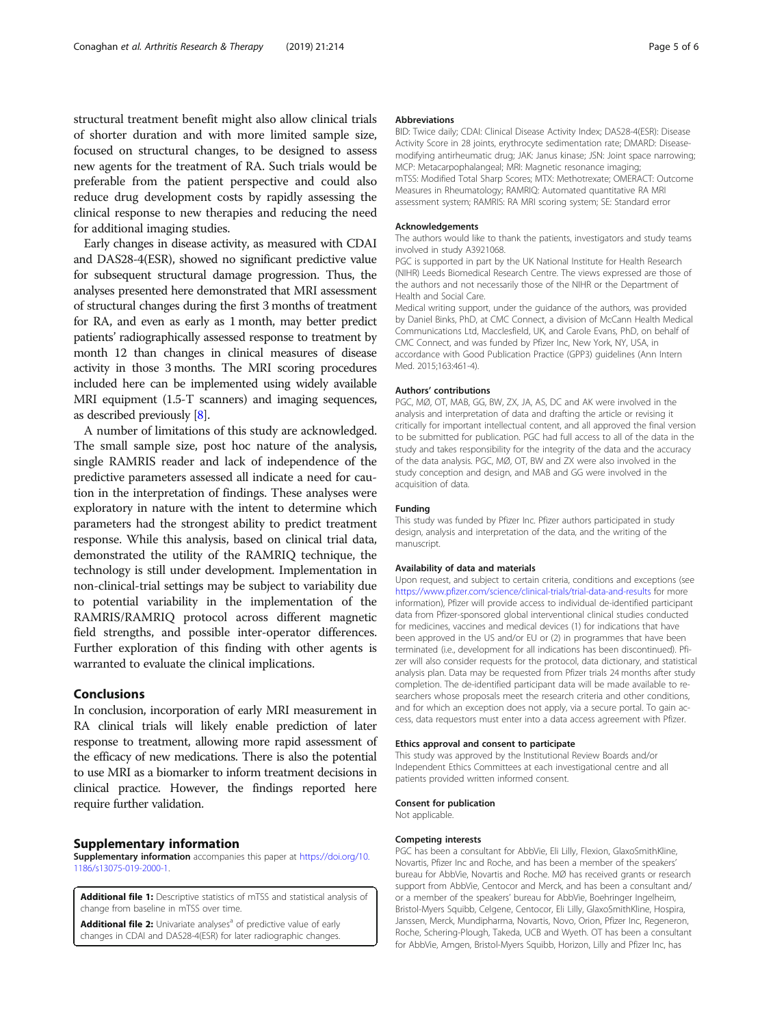<span id="page-4-0"></span>structural treatment benefit might also allow clinical trials of shorter duration and with more limited sample size, focused on structural changes, to be designed to assess new agents for the treatment of RA. Such trials would be preferable from the patient perspective and could also reduce drug development costs by rapidly assessing the clinical response to new therapies and reducing the need for additional imaging studies.

Early changes in disease activity, as measured with CDAI and DAS28-4(ESR), showed no significant predictive value for subsequent structural damage progression. Thus, the analyses presented here demonstrated that MRI assessment of structural changes during the first 3 months of treatment for RA, and even as early as 1 month, may better predict patients' radiographically assessed response to treatment by month 12 than changes in clinical measures of disease activity in those 3 months. The MRI scoring procedures included here can be implemented using widely available MRI equipment (1.5-T scanners) and imaging sequences, as described previously [\[8\]](#page-5-0).

A number of limitations of this study are acknowledged. The small sample size, post hoc nature of the analysis, single RAMRIS reader and lack of independence of the predictive parameters assessed all indicate a need for caution in the interpretation of findings. These analyses were exploratory in nature with the intent to determine which parameters had the strongest ability to predict treatment response. While this analysis, based on clinical trial data, demonstrated the utility of the RAMRIQ technique, the technology is still under development. Implementation in non-clinical-trial settings may be subject to variability due to potential variability in the implementation of the RAMRIS/RAMRIQ protocol across different magnetic field strengths, and possible inter-operator differences. Further exploration of this finding with other agents is warranted to evaluate the clinical implications.

# Conclusions

In conclusion, incorporation of early MRI measurement in RA clinical trials will likely enable prediction of later response to treatment, allowing more rapid assessment of the efficacy of new medications. There is also the potential to use MRI as a biomarker to inform treatment decisions in clinical practice. However, the findings reported here require further validation.

#### Supplementary information

Supplementary information accompanies this paper at [https://doi.org/10.](https://doi.org/10.1186/s13075-019-2000-1) [1186/s13075-019-2000-1.](https://doi.org/10.1186/s13075-019-2000-1)

Additional file 1: Descriptive statistics of mTSS and statistical analysis of change from baseline in mTSS over time.

Additional file 2: Univariate analyses<sup>a</sup> of predictive value of early changes in CDAI and DAS28-4(ESR) for later radiographic changes.

#### Abbreviations

BID: Twice daily; CDAI: Clinical Disease Activity Index; DAS28-4(ESR): Disease Activity Score in 28 joints, erythrocyte sedimentation rate; DMARD: Diseasemodifying antirheumatic drug; JAK: Janus kinase; JSN: Joint space narrowing; MCP: Metacarpophalangeal; MRI: Magnetic resonance imaging; mTSS: Modified Total Sharp Scores; MTX: Methotrexate; OMERACT: Outcome Measures in Rheumatology; RAMRIQ: Automated quantitative RA MRI assessment system; RAMRIS: RA MRI scoring system; SE: Standard error

#### Acknowledgements

The authors would like to thank the patients, investigators and study teams involved in study A3921068.

PGC is supported in part by the UK National Institute for Health Research (NIHR) Leeds Biomedical Research Centre. The views expressed are those of the authors and not necessarily those of the NIHR or the Department of Health and Social Care.

Medical writing support, under the guidance of the authors, was provided by Daniel Binks, PhD, at CMC Connect, a division of McCann Health Medical Communications Ltd, Macclesfield, UK, and Carole Evans, PhD, on behalf of CMC Connect, and was funded by Pfizer Inc, New York, NY, USA, in accordance with Good Publication Practice (GPP3) guidelines (Ann Intern Med. 2015;163:461-4).

#### Authors' contributions

PGC, MØ, OT, MAB, GG, BW, ZX, JA, AS, DC and AK were involved in the analysis and interpretation of data and drafting the article or revising it critically for important intellectual content, and all approved the final version to be submitted for publication. PGC had full access to all of the data in the study and takes responsibility for the integrity of the data and the accuracy of the data analysis. PGC, MØ, OT, BW and ZX were also involved in the study conception and design, and MAB and GG were involved in the acquisition of data.

#### Funding

This study was funded by Pfizer Inc. Pfizer authors participated in study design, analysis and interpretation of the data, and the writing of the manuscript.

#### Availability of data and materials

Upon request, and subject to certain criteria, conditions and exceptions (see <https://www.pfizer.com/science/clinical-trials/trial-data-and-results> for more information), Pfizer will provide access to individual de-identified participant data from Pfizer-sponsored global interventional clinical studies conducted for medicines, vaccines and medical devices (1) for indications that have been approved in the US and/or EU or (2) in programmes that have been terminated (i.e., development for all indications has been discontinued). Pfizer will also consider requests for the protocol, data dictionary, and statistical analysis plan. Data may be requested from Pfizer trials 24 months after study completion. The de-identified participant data will be made available to researchers whose proposals meet the research criteria and other conditions, and for which an exception does not apply, via a secure portal. To gain access, data requestors must enter into a data access agreement with Pfizer.

#### Ethics approval and consent to participate

This study was approved by the Institutional Review Boards and/or Independent Ethics Committees at each investigational centre and all patients provided written informed consent.

#### Consent for publication

Not applicable.

#### Competing interests

PGC has been a consultant for AbbVie, Eli Lilly, Flexion, GlaxoSmithKline, Novartis, Pfizer Inc and Roche, and has been a member of the speakers' bureau for AbbVie, Novartis and Roche. MØ has received grants or research support from AbbVie, Centocor and Merck, and has been a consultant and/ or a member of the speakers' bureau for AbbVie, Boehringer Ingelheim, Bristol-Myers Squibb, Celgene, Centocor, Eli Lilly, GlaxoSmithKline, Hospira, Janssen, Merck, Mundipharma, Novartis, Novo, Orion, Pfizer Inc, Regeneron, Roche, Schering-Plough, Takeda, UCB and Wyeth. OT has been a consultant for AbbVie, Amgen, Bristol-Myers Squibb, Horizon, Lilly and Pfizer Inc, has